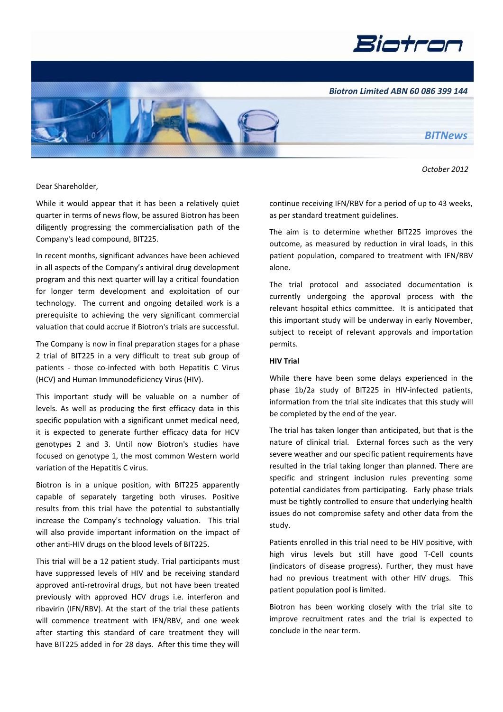



 *October 2012*

Dear Shareholder,

While it would appear that it has been a relatively quiet quarter in terms of news flow, be assured Biotron has been diligently progressing the commercialisation path of the Company's lead compound, BIT225.

In recent months, significant advances have been achieved in all aspects of the Company's antiviral drug development program and this next quarter will lay a critical foundation for longer term development and exploitation of our technology. The current and ongoing detailed work is a prerequisite to achieving the very significant commercial valuation that could accrue if Biotron's trials are successful.

The Company is now in final preparation stages for a phase 2 trial of BIT225 in a very difficult to treat sub group of patients - those co-infected with both Hepatitis C Virus (HCV) and Human Immunodeficiency Virus (HIV).

This important study will be valuable on a number of levels. As well as producing the first efficacy data in this specific population with a significant unmet medical need, it is expected to generate further efficacy data for HCV genotypes 2 and 3. Until now Biotron's studies have focused on genotype 1, the most common Western world variation of the Hepatitis C virus.

Biotron is in a unique position, with BIT225 apparently capable of separately targeting both viruses. Positive results from this trial have the potential to substantially increase the Company's technology valuation. This trial will also provide important information on the impact of other anti-HIV drugs on the blood levels of BIT225.

This trial will be a 12 patient study. Trial participants must have suppressed levels of HIV and be receiving standard approved anti-retroviral drugs, but not have been treated previously with approved HCV drugs i.e. interferon and ribavirin (IFN/RBV). At the start of the trial these patients will commence treatment with IFN/RBV, and one week after starting this standard of care treatment they will have BIT225 added in for 28 days. After this time they will continue receiving IFN/RBV for a period of up to 43 weeks, as per standard treatment guidelines.

The aim is to determine whether BIT225 improves the outcome, as measured by reduction in viral loads, in this patient population, compared to treatment with IFN/RBV alone.

The trial protocol and associated documentation is currently undergoing the approval process with the relevant hospital ethics committee. It is anticipated that this important study will be underway in early November, subject to receipt of relevant approvals and importation permits.

## **HIV Trial**

While there have been some delays experienced in the phase 1b/2a study of BIT225 in HIV-infected patients, information from the trial site indicates that this study will be completed by the end of the year.

The trial has taken longer than anticipated, but that is the nature of clinical trial. External forces such as the very severe weather and our specific patient requirements have resulted in the trial taking longer than planned. There are specific and stringent inclusion rules preventing some potential candidates from participating. Early phase trials must be tightly controlled to ensure that underlying health issues do not compromise safety and other data from the study.

Patients enrolled in this trial need to be HIV positive, with high virus levels but still have good T-Cell counts (indicators of disease progress). Further, they must have had no previous treatment with other HIV drugs. This patient population pool is limited.

Biotron has been working closely with the trial site to improve recruitment rates and the trial is expected to conclude in the near term.